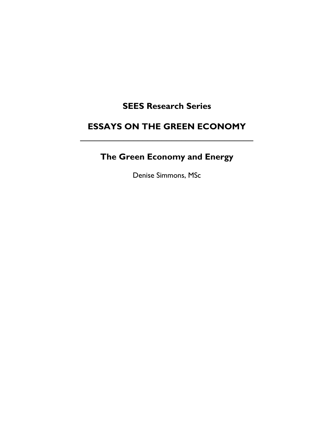# **SEES Research Series**

# **ESSAYS ON THE GREEN ECONOMY**  $\mathcal{L}_\text{max}$  and  $\mathcal{L}_\text{max}$  and  $\mathcal{L}_\text{max}$  and  $\mathcal{L}_\text{max}$

# **The Green Economy and Energy**

Denise Simmons, MSc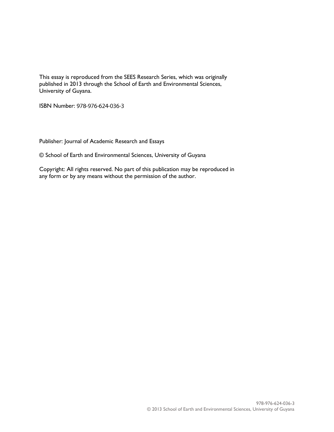This essay is reproduced from the SEES Research Series, which was originally published in 2013 through the School of Earth and Environmental Sciences, University of Guyana.

ISBN Number: 978-976-624-036-3

Publisher: Journal of Academic Research and Essays

© School of Earth and Environmental Sciences, University of Guyana

Copyright: All rights reserved. No part of this publication may be reproduced in any form or by any means without the permission of the author.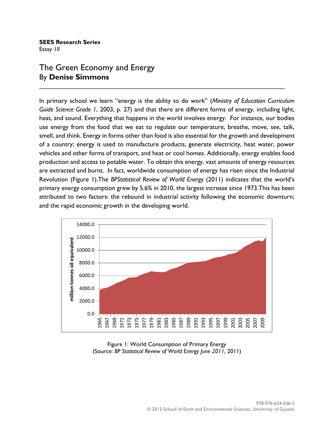#### **SEES Research Series**  Essay 1II

## The Green Economy and Energy By **Denise Simmons**

In primary school we learn "energy is the ability to do work" (*Ministry of Education Curriculum Guide Science Grade 1*, 2003, p. 27) and that there are different forms of energy, including light, heat, and sound. Everything that happens in the world involves energy. For instance, our bodies use energy from the food that we eat to regulate our temperature, breathe, move, see, talk, smell, and think. Energy in forms other than food is also essential for the growth and development of a country; energy is used to manufacture products, generate electricity, heat water, power vehicles and other forms of transport, and heat or cool homes. Additionally, energy enables food production and access to potable water. To obtain this energy, vast amounts of energy resources are extracted and burnt. In fact, worldwide consumption of energy has risen since the Industrial Revolution (Figure 1).The *BPStatistical Review of World Energy* (2011) indicates that the world's primary energy consumption grew by 5.6% in 2010, the largest increase since 1973.This has been attributed to two factors: the rebound in industrial activity following the economic downturn; and the rapid economic growth in the developing world.

\_\_\_\_\_\_\_\_\_\_\_\_\_\_\_\_\_\_\_\_\_\_\_\_\_\_\_\_\_\_\_\_\_\_\_\_\_\_\_\_\_\_\_\_\_\_\_\_\_\_\_\_\_\_\_\_\_\_\_\_\_\_\_\_\_\_\_\_



Figure 1: World Consumption of Primary Energy (Source: *BP Statistical Review of World Energy June 2011,* 2011)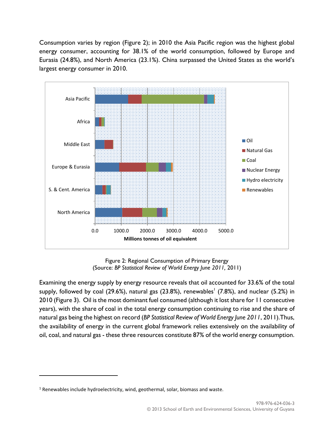Consumption varies by region (Figure 2); in 2010 the Asia Pacific region was the highest global energy consumer, accounting for 38.1% of the world consumption, followed by Europe and Eurasia (24.8%), and North America (23.1%). China surpassed the United States as the world's largest energy consumer in 2010.



Figure 2: Regional Consumption of Primary Energy (Source: *BP Statistical Review of World Energy June 2011,* 2011)

Examining the energy supply by energy resource reveals that oil accounted for 33.6% of the total supply, followed by coal (29.6%), natural gas (23.8%), renewables $^{\rm l}$  (7.8%), and nuclear (5.2%) in 2010 (Figure 3). Oil is the most dominant fuel consumed (although it lost share for 11 consecutive years), with the share of coal in the total energy consumption continuing to rise and the share of natural gas being the highest on record (*BP Statistical Review of World Energy June 2011*, 2011).Thus, the availability of energy in the current global framework relies extensively on the availability of oil, coal, and natural gas - these three resources constitute 87% of the world energy consumption.

 $\overline{\phantom{a}}$ 

 $1$  Renewables include hydroelectricity, wind, geothermal, solar, biomass and waste.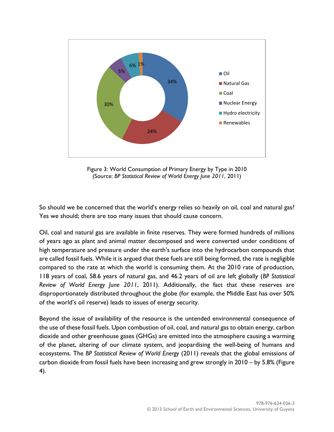

Figure 3: World Consumption of Primary Energy by Type in 2010 (Source: *BP Statistical Review of World Energy June 2011*, 2011)

So should we be concerned that the world's energy relies so heavily on oil, coal and natural gas? Yes we should; there are too many issues that should cause concern.

Oil, coal and natural gas are available in finite reserves. They were formed hundreds of millions of years ago as plant and animal matter decomposed and were converted under conditions of high temperature and pressure under the earth's surface into the hydrocarbon compounds that are called fossil fuels. While it is argued that these fuels are still being formed, the rate is negligible compared to the rate at which the world is consuming them. At the 2010 rate of production, 118 years of coal, 58.6 years of natural gas, and 46.2 years of oil are left globally (*BP Statistical Review of World Energy June 2011*, 2011). Additionally, the fact that these reserves are disproportionately distributed throughout the globe (for example, the Middle East has over 50% of the world's oil reserve) leads to issues of energy security.

Beyond the issue of availability of the resource is the untended environmental consequence of the use of these fossil fuels. Upon combustion of oil, coal, and natural gas to obtain energy, carbon dioxide and other greenhouse gases (GHGs) are emitted into the atmosphere causing a warming of the planet, altering of our climate system, and jeopardising the well-being of humans and ecosystems. The *BP Statistical Review of World Energy* (2011) reveals that the global emissions of carbon dioxide from fossil fuels have been increasing and grew strongly in 2010 – by 5.8% (Figure 4).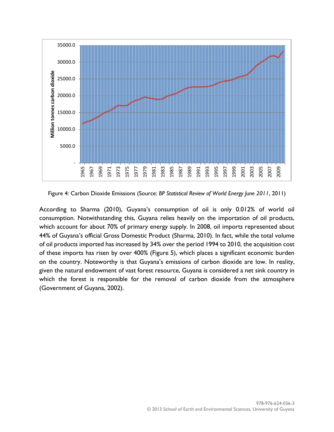

Figure 4: Carbon Dioxide Emissions (Source: *BP Statistical Review of World Energy June 2011*, 2011)

According to Sharma (2010), Guyana's consumption of oil is only 0.012% of world oil consumption. Notwithstanding this, Guyana relies heavily on the importation of oil products, which account for about 70% of primary energy supply. In 2008, oil imports represented about 44% of Guyana's official Gross Domestic Product (Sharma, 2010). In fact, while the total volume of oil products imported has increased by 34% over the period 1994 to 2010, the acquisition cost of these imports has risen by over 400% (Figure 5), which places a significant economic burden on the country. Noteworthy is that Guyana's emissions of carbon dioxide are low. In reality, given the natural endowment of vast forest resource, Guyana is considered a net sink country in which the forest is responsible for the removal of carbon dioxide from the atmosphere (Government of Guyana, 2002).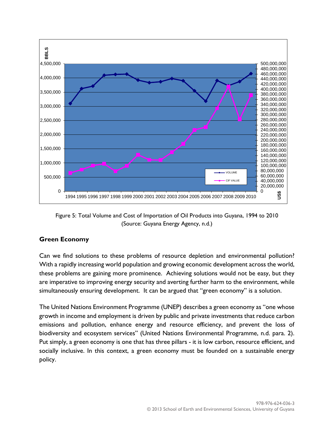

Figure 5: Total Volume and Cost of Importation of Oil Products into Guyana, 1994 to 2010 (Source: Guyana Energy Agency, n.d.)

### **Green Economy**

Can we find solutions to these problems of resource depletion and environmental pollution? With a rapidly increasing world population and growing economic development across the world, these problems are gaining more prominence. Achieving solutions would not be easy, but they are imperative to improving energy security and averting further harm to the environment, while simultaneously ensuring development. It can be argued that "green economy" is a solution.

The United Nations Environment Programme (UNEP) describes a green economy as "one whose growth in income and employment is driven by public and private investments that reduce carbon emissions and pollution, enhance energy and resource efficiency, and prevent the loss of biodiversity and ecosystem services" (United Nations Environmental Programme, n.d. para. 2). Put simply, a green economy is one that has three pillars - it is low carbon, resource efficient, and socially inclusive. In this context, a green economy must be founded on a sustainable energy policy.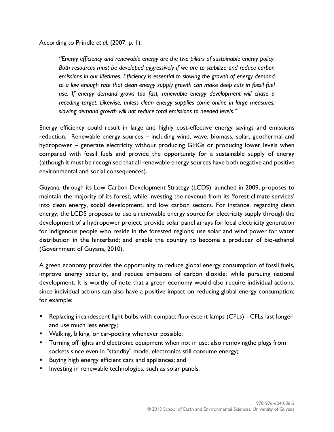According to Prindle *et al.* (2007, p. 1):

*"Energy efficiency and renewable energy are the two pillars of sustainable energy policy. Both resources must be developed aggressively if we are to stabilize and reduce carbon emissions in our lifetimes. Efficiency is essential to slowing the growth of energy demand*  to a low enough rate that clean energy supply growth can make deep cuts in fossil fuel use. If energy demand grows too fast, renewable energy development will chase a *receding target. Likewise, unless clean energy supplies come online in large measures, slowing demand growth will not reduce total emissions to needed levels."*

Energy efficiency could result in large and highly cost-effective energy savings and emissions reduction. Renewable energy sources – including wind, wave, biomass, solar, geothermal and hydropower – generate electricity without producing GHGs or producing lower levels when compared with fossil fuels and provide the opportunity for a sustainable supply of energy (although it must be recognised that all renewable energy sources have both negative and positive environmental and social consequences).

Guyana, through its Low Carbon Development Strategy (LCDS) launched in 2009, proposes to maintain the majority of its forest, while investing the revenue from its 'forest climate services' into clean energy, social development, and low carbon sectors. For instance, regarding clean energy, the LCDS proposes to use a renewable energy source for electricity supply through the development of a hydropower project; provide solar panel arrays for local electricity generation for indigenous people who reside in the forested regions; use solar and wind power for water distribution in the hinterland; and enable the country to become a producer of bio-ethanol (Government of Guyana, 2010).

A green economy provides the opportunity to reduce global energy consumption of fossil fuels, improve energy security, and reduce emissions of carbon dioxide; while pursuing national development. It is worthy of note that a green economy would also require individual actions, since individual actions can also have a positive impact on reducing global energy consumption; for example:

- Replacing incandescent light bulbs with compact fluorescent lamps (CFLs) CFLs last longer and use much less energy;
- **Walking, biking, or car-pooling whenever possible;**
- Turning off lights and electronic equipment when not in use; also removingthe plugs from sockets since even in "standby" mode, electronics still consume energy;
- **Buying high energy efficient cars and appliances; and**
- **Investing in renewable technologies, such as solar panels.**